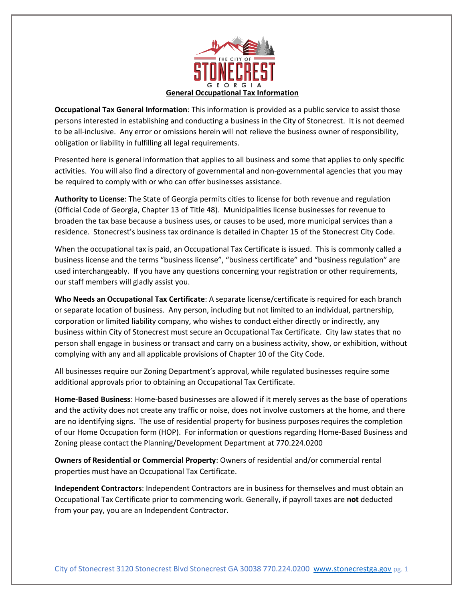

**Occupational Tax General Information**: This information is provided as a public service to assist those persons interested in establishing and conducting a business in the City of Stonecrest. It is not deemed to be all-inclusive. Any error or omissions herein will not relieve the business owner of responsibility, obligation or liability in fulfilling all legal requirements.

Presented here is general information that applies to all business and some that applies to only specific activities. You will also find a directory of governmental and non-governmental agencies that you may be required to comply with or who can offer businesses assistance.

**Authority to License**: The State of Georgia permits cities to license for both revenue and regulation (Official Code of Georgia, Chapter 13 of Title 48). Municipalities license businesses for revenue to broaden the tax base because a business uses, or causes to be used, more municipal services than a residence. Stonecrest's business tax ordinance is detailed in Chapter 15 of the Stonecrest City Code.

When the occupational tax is paid, an Occupational Tax Certificate is issued. This is commonly called a business license and the terms "business license", "business certificate" and "business regulation" are used interchangeably. If you have any questions concerning your registration or other requirements, our staff members will gladly assist you.

**Who Needs an Occupational Tax Certificate**: A separate license/certificate is required for each branch or separate location of business. Any person, including but not limited to an individual, partnership, corporation or limited liability company, who wishes to conduct either directly or indirectly, any business within City of Stonecrest must secure an Occupational Tax Certificate. City law states that no person shall engage in business or transact and carry on a business activity, show, or exhibition, without complying with any and all applicable provisions of Chapter 10 of the City Code.

All businesses require our Zoning Department's approval, while regulated businesses require some additional approvals prior to obtaining an Occupational Tax Certificate.

**Home-Based Business**: Home-based businesses are allowed if it merely serves as the base of operations and the activity does not create any traffic or noise, does not involve customers at the home, and there are no identifying signs. The use of residential property for business purposes requires the completion of our Home Occupation form (HOP). For information or questions regarding Home-Based Business and Zoning please contact the Planning/Development Department at 770.224.0200

**Owners of Residential or Commercial Property**: Owners of residential and/or commercial rental properties must have an Occupational Tax Certificate.

**Independent Contractors**: Independent Contractors are in business for themselves and must obtain an Occupational Tax Certificate prior to commencing work. Generally, if payroll taxes are **not** deducted from your pay, you are an Independent Contractor.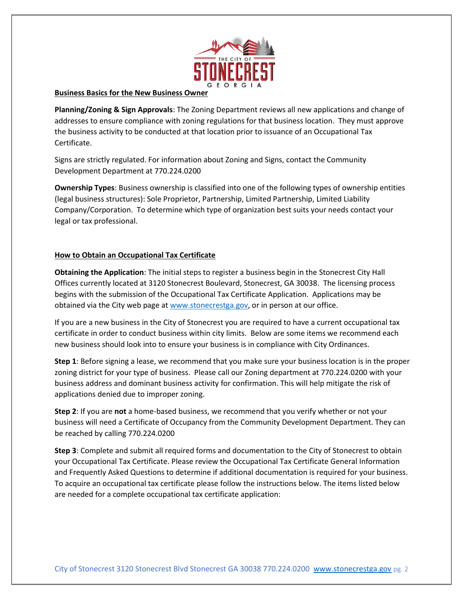

## **Business Basics for the New Business Owner**

**Planning/Zoning & Sign Approvals**: The Zoning Department reviews all new applications and change of addresses to ensure compliance with zoning regulations for that business location. They must approve the business activity to be conducted at that location prior to issuance of an Occupational Tax Certificate.

Signs are strictly regulated. For information about Zoning and Signs, contact the Community Development Department at 770.224.0200

**Ownership Types**: Business ownership is classified into one of the following types of ownership entities (legal business structures): Sole Proprietor, Partnership, Limited Partnership, Limited Liability Company/Corporation. To determine which type of organization best suits your needs contact your legal or tax professional.

# **How to Obtain an Occupational Tax Certificate**

**Obtaining the Application**: The initial steps to register a business begin in the Stonecrest City Hall Offices currently located at 3120 Stonecrest Boulevard, Stonecrest, GA 30038. The licensing process begins with the submission of the Occupational Tax Certificate Application. Applications may be obtained via the City web page at [www.stonecrestga.gov,](http://www.stonecrestga.gov/) or in person at our office.

If you are a new business in the City of Stonecrest you are required to have a current occupational tax certificate in order to conduct business within city limits. Below are some items we recommend each new business should look into to ensure your business is in compliance with City Ordinances.

**Step 1**: Before signing a lease, we recommend that you make sure your business location is in the proper zoning district for your type of business. Please call our Zoning department at 770.224.0200 with your business address and dominant business activity for confirmation. This will help mitigate the risk of applications denied due to improper zoning.

**Step 2**: If you are **not** a home-based business, we recommend that you verify whether or not your business will need a Certificate of Occupancy from the Community Development Department. They can be reached by calling 770.224.0200

**Step 3**: Complete and submit all required forms and documentation to the City of Stonecrest to obtain your Occupational Tax Certificate. Please review the Occupational Tax Certificate General Information and Frequently Asked Questions to determine if additional documentation is required for your business. To acquire an occupational tax certificate please follow the instructions below. The items listed below are needed for a complete occupational tax certificate application: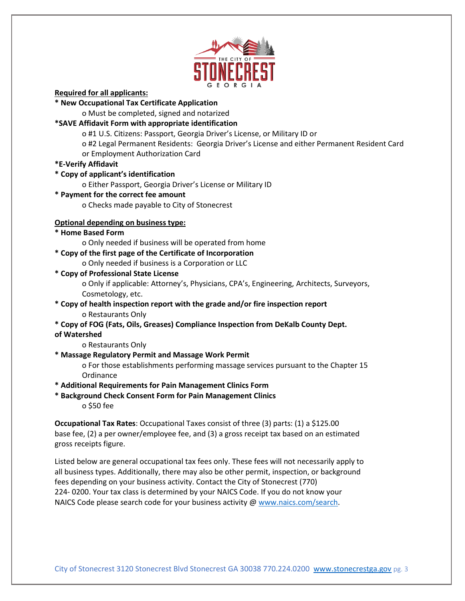

### **Required for all applicants:**

## **\* New Occupational Tax Certificate Application**

o Must be completed, signed and notarized

# **\*SAVE Affidavit Form with appropriate identification**

- o #1 U.S. Citizens: Passport, Georgia Driver's License, or Military ID or
- o #2 Legal Permanent Residents: Georgia Driver's License and either Permanent Resident Card
- or Employment Authorization Card

## **\*E-Verify Affidavit**

## **\* Copy of applicant's identification**

o Either Passport, Georgia Driver's License or Military ID

## **\* Payment for the correct fee amount**

o Checks made payable to City of Stonecrest

## **Optional depending on business type:**

### **\* Home Based Form**

o Only needed if business will be operated from home

- **\* Copy of the first page of the Certificate of Incorporation**
	- o Only needed if business is a Corporation or LLC
- **\* Copy of Professional State License**

o Only if applicable: Attorney's, Physicians, CPA's, Engineering, Architects, Surveyors, Cosmetology, etc.

**\* Copy of health inspection report with the grade and/or fire inspection report** o Restaurants Only

# **\* Copy of FOG (Fats, Oils, Greases) Compliance Inspection from DeKalb County Dept.**

### **of Watershed**

o Restaurants Only

# **\* Massage Regulatory Permit and Massage Work Permit**

o For those establishments performing massage services pursuant to the Chapter 15 **Ordinance** 

### **\* Additional Requirements for Pain Management Clinics Form**

**\* Background Check Consent Form for Pain Management Clinics**

o \$50 fee

**Occupational Tax Rates**: Occupational Taxes consist of three (3) parts: (1) a \$125.00 base fee, (2) a per owner/employee fee, and (3) a gross receipt tax based on an estimated gross receipts figure.

Listed below are general occupational tax fees only. These fees will not necessarily apply to all business types. Additionally, there may also be other permit, inspection, or background fees depending on your business activity. Contact the City of Stonecrest (770) 224- 0200. Your tax class is determined by your NAICS Code. If you do not know your NAICS Code please search code for your business activity  $\omega$  www.naics.com/search.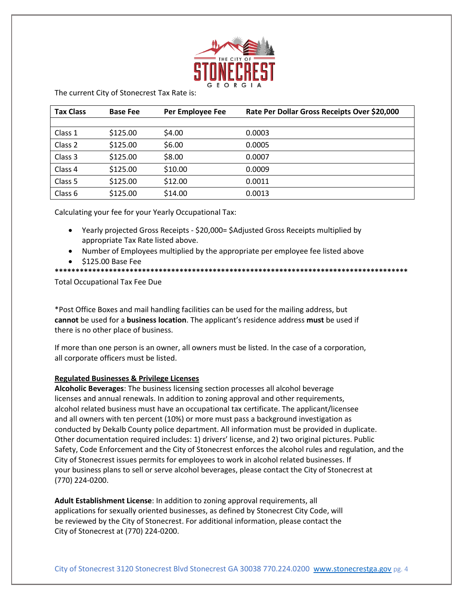

The current City of Stonecrest Tax Rate is:

| <b>Tax Class</b> | <b>Base Fee</b> | <b>Per Employee Fee</b> | Rate Per Dollar Gross Receipts Over \$20,000 |
|------------------|-----------------|-------------------------|----------------------------------------------|
|                  |                 |                         |                                              |
| Class 1          | \$125.00        | \$4.00                  | 0.0003                                       |
| Class 2          | \$125.00        | \$6.00                  | 0.0005                                       |
| Class 3          | \$125.00        | \$8.00                  | 0.0007                                       |
| Class 4          | \$125.00        | \$10.00                 | 0.0009                                       |
| Class 5          | \$125.00        | \$12.00                 | 0.0011                                       |
| Class 6          | \$125.00        | \$14.00                 | 0.0013                                       |

Calculating your fee for your Yearly Occupational Tax:

- Yearly projected Gross Receipts \$20,000= \$Adjusted Gross Receipts multiplied by appropriate Tax Rate listed above.
- Number of Employees multiplied by the appropriate per employee fee listed above
- \$125.00 Base Fee

**\*\*\*\*\*\*\*\*\*\*\*\*\*\*\*\*\*\*\*\*\*\*\*\*\*\*\*\*\*\*\*\*\*\*\*\*\*\*\*\*\*\*\*\*\*\*\*\*\*\*\*\*\*\*\*\*\*\*\*\*\*\*\*\*\*\*\*\*\*\*\*\*\*\*\*\*\*\*\*\*\*\*\*\*\***

Total Occupational Tax Fee Due

\*Post Office Boxes and mail handling facilities can be used for the mailing address, but **cannot** be used for a **business location**. The applicant's residence address **must** be used if there is no other place of business.

If more than one person is an owner, all owners must be listed. In the case of a corporation, all corporate officers must be listed.

### **Regulated Businesses & Privilege Licenses**

**Alcoholic Beverages**: The business licensing section processes all alcohol beverage licenses and annual renewals. In addition to zoning approval and other requirements, alcohol related business must have an occupational tax certificate. The applicant/licensee and all owners with ten percent (10%) or more must pass a background investigation as conducted by Dekalb County police department. All information must be provided in duplicate. Other documentation required includes: 1) drivers' license, and 2) two original pictures. Public Safety, Code Enforcement and the City of Stonecrest enforces the alcohol rules and regulation, and the City of Stonecrest issues permits for employees to work in alcohol related businesses. If your business plans to sell or serve alcohol beverages, please contact the City of Stonecrest at (770) 224-0200.

**Adult Establishment License**: In addition to zoning approval requirements, all applications for sexually oriented businesses, as defined by Stonecrest City Code, will be reviewed by the City of Stonecrest. For additional information, please contact the City of Stonecrest at (770) 224-0200.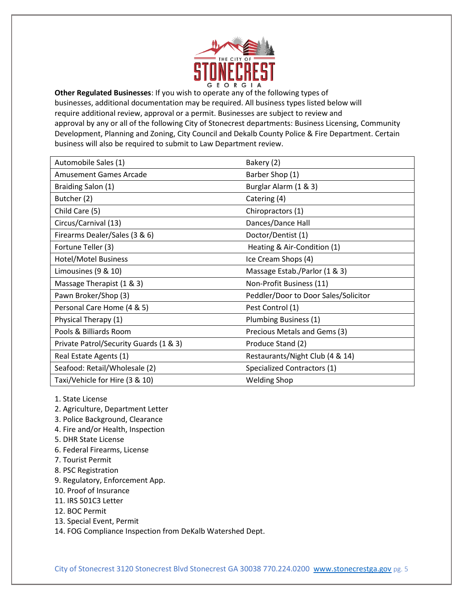

**Other Regulated Businesses**: If you wish to operate any of the following types of businesses, additional documentation may be required. All business types listed below will require additional review, approval or a permit. Businesses are subject to review and approval by any or all of the following City of Stonecrest departments: Business Licensing, Community Development, Planning and Zoning, City Council and Dekalb County Police & Fire Department. Certain business will also be required to submit to Law Department review.

| Automobile Sales (1)                   | Bakery (2)                           |
|----------------------------------------|--------------------------------------|
| Amusement Games Arcade                 | Barber Shop (1)                      |
| Braiding Salon (1)                     | Burglar Alarm (1 & 3)                |
| Butcher (2)                            | Catering (4)                         |
| Child Care (5)                         | Chiropractors (1)                    |
| Circus/Carnival (13)                   | Dances/Dance Hall                    |
| Firearms Dealer/Sales (3 & 6)          | Doctor/Dentist (1)                   |
| Fortune Teller (3)                     | Heating & Air-Condition (1)          |
| Hotel/Motel Business                   | Ice Cream Shops (4)                  |
| Limousines (9 & 10)                    | Massage Estab./Parlor (1 & 3)        |
| Massage Therapist (1 & 3)              | Non-Profit Business (11)             |
| Pawn Broker/Shop (3)                   | Peddler/Door to Door Sales/Solicitor |
| Personal Care Home (4 & 5)             | Pest Control (1)                     |
| Physical Therapy (1)                   | Plumbing Business (1)                |
| Pools & Billiards Room                 | Precious Metals and Gems (3)         |
| Private Patrol/Security Guards (1 & 3) | Produce Stand (2)                    |
| Real Estate Agents (1)                 | Restaurants/Night Club (4 & 14)      |
| Seafood: Retail/Wholesale (2)          | Specialized Contractors (1)          |
| Taxi/Vehicle for Hire (3 & 10)         | <b>Welding Shop</b>                  |

1. State License

2. Agriculture, Department Letter

3. Police Background, Clearance

4. Fire and/or Health, Inspection

- 5. DHR State License
- 6. Federal Firearms, License
- 7. Tourist Permit
- 8. PSC Registration
- 9. Regulatory, Enforcement App.
- 10. Proof of Insurance
- 11. IRS 501C3 Letter
- 12. BOC Permit
- 13. Special Event, Permit
- 14. FOG Compliance Inspection from DeKalb Watershed Dept.